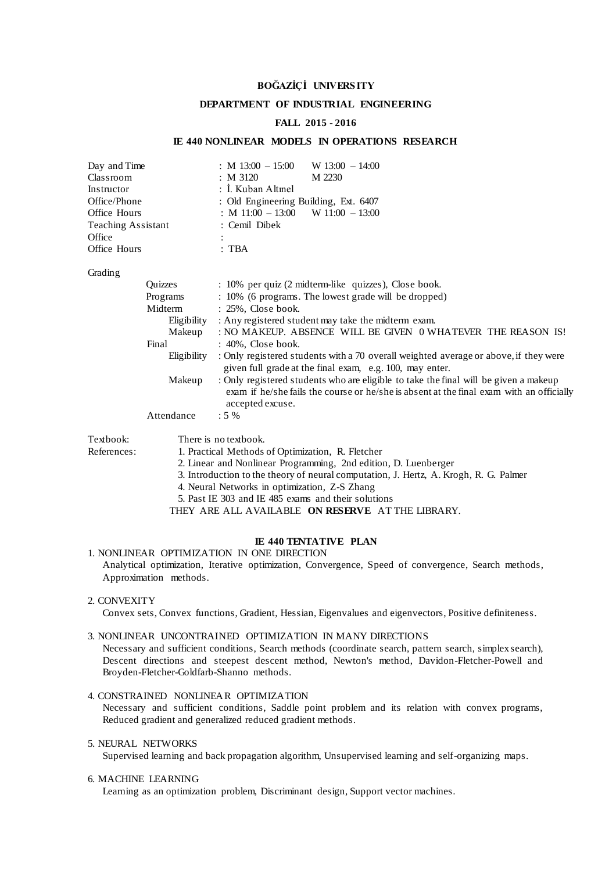# **BOĞAZİÇİ UNIVERS ITY**

### **DEPARTMENT OF INDUSTRIAL ENGINEERING**

### **FALL 2015 - 2016**

## **IE 440 NONLINEAR MODELS IN OPERATIONS RESEARCH**

| Day and Time<br>Classroom<br>Instructor<br>Office/Phone<br>Office Hours<br><b>Teaching Assistant</b><br>Office<br>Office Hours |                                                                                                                                                                                                                                                                                                                                   | : M $13:00 - 15:00$<br>$W$ 13:00 - 14:00<br>: M 3120<br>M 2230<br>: I. Kuban Altmel<br>: Old Engineering Building, Ext. 6407<br>: M $11:00 - 13:00$ W $11:00 - 13:00$<br>: Cemil Dibek<br>$:$ TBA    |  |  |  |
|--------------------------------------------------------------------------------------------------------------------------------|-----------------------------------------------------------------------------------------------------------------------------------------------------------------------------------------------------------------------------------------------------------------------------------------------------------------------------------|------------------------------------------------------------------------------------------------------------------------------------------------------------------------------------------------------|--|--|--|
| Grading                                                                                                                        |                                                                                                                                                                                                                                                                                                                                   |                                                                                                                                                                                                      |  |  |  |
|                                                                                                                                | Ouizzes                                                                                                                                                                                                                                                                                                                           | : 10% per quiz (2 midterm-like quizzes), Close book.                                                                                                                                                 |  |  |  |
|                                                                                                                                | Programs                                                                                                                                                                                                                                                                                                                          | : 10% (6 programs. The lowest grade will be dropped)                                                                                                                                                 |  |  |  |
|                                                                                                                                | Midterm                                                                                                                                                                                                                                                                                                                           | : 25%, Close book.                                                                                                                                                                                   |  |  |  |
|                                                                                                                                | Eligibility                                                                                                                                                                                                                                                                                                                       | : Any registered student may take the midterm exam.                                                                                                                                                  |  |  |  |
| Makeup<br>Final                                                                                                                |                                                                                                                                                                                                                                                                                                                                   | : NO MAKEUP. ABSENCE WILL BE GIVEN 0 WHATEVER THE REASON IS!<br>: 40%, Close book.                                                                                                                   |  |  |  |
|                                                                                                                                |                                                                                                                                                                                                                                                                                                                                   |                                                                                                                                                                                                      |  |  |  |
|                                                                                                                                | Makeup                                                                                                                                                                                                                                                                                                                            | : Only registered students who are eligible to take the final will be given a makeup<br>exam if he/she fails the course or he/she is absent at the final exam with an officially<br>accepted excuse. |  |  |  |
|                                                                                                                                | Attendance                                                                                                                                                                                                                                                                                                                        | $:5\%$                                                                                                                                                                                               |  |  |  |
| Textbook:                                                                                                                      | There is no textbook.                                                                                                                                                                                                                                                                                                             |                                                                                                                                                                                                      |  |  |  |
| References:                                                                                                                    | 1. Practical Methods of Optimization, R. Fletcher                                                                                                                                                                                                                                                                                 |                                                                                                                                                                                                      |  |  |  |
|                                                                                                                                | 2. Linear and Nonlinear Programming, 2nd edition, D. Luenberger                                                                                                                                                                                                                                                                   |                                                                                                                                                                                                      |  |  |  |
|                                                                                                                                | 3. Introduction to the theory of neural computation, J. Hertz, A. Krogh, R. G. Palmer                                                                                                                                                                                                                                             |                                                                                                                                                                                                      |  |  |  |
|                                                                                                                                | $\overline{A}$ at $\overline{A}$ and $\overline{A}$ and $\overline{A}$ and $\overline{A}$ and $\overline{A}$ and $\overline{A}$ and $\overline{A}$ and $\overline{A}$ and $\overline{A}$ and $\overline{A}$ and $\overline{A}$ and $\overline{A}$ and $\overline{A}$ and $\overline{A}$ and $\overline{A}$ and $\overline{A}$ and |                                                                                                                                                                                                      |  |  |  |

- 4. Neural Networks in optimization, Z-S Zhang
- 5. Past IE 303 and IE 485 exams and their solutions

THEY ARE ALL AVAILABLE **ON RESERVE** AT THE LIBRARY.

## **IE 440 TENTATIVE PLAN**

## 1. NONLINEAR OPTIMIZATION IN ONE DIRECTION Analytical optimization, Iterative optimization, Convergence, Speed of convergence, Search methods,

Approximation methods.

# 2. CONVEXITY

Convex sets, Convex functions, Gradient, Hessian, Eigenvalues and eigenvectors, Positive definiteness.

### 3. NONLINEAR UNCONTRAINED OPTIMIZATION IN MANY DIRECTIONS

Necessary and sufficient conditions, Search methods (coordinate search, pattern search, simplex search), Descent directions and steepest descent method, Newton's method, Davidon-Fletcher-Powell and Broyden-Fletcher-Goldfarb-Shanno methods.

## 4. CONSTRAINED NONLINEAR OPTIMIZATION

Necessary and sufficient conditions, Saddle point problem and its relation with convex programs, Reduced gradient and generalized reduced gradient methods.

### 5. NEURAL NETWORKS

Supervised learning and back propagation algorithm, Unsupervised learning and self-organizing maps.

### 6. MACHINE LEARNING

Learning as an optimization problem, Discriminant design, Support vector machines.